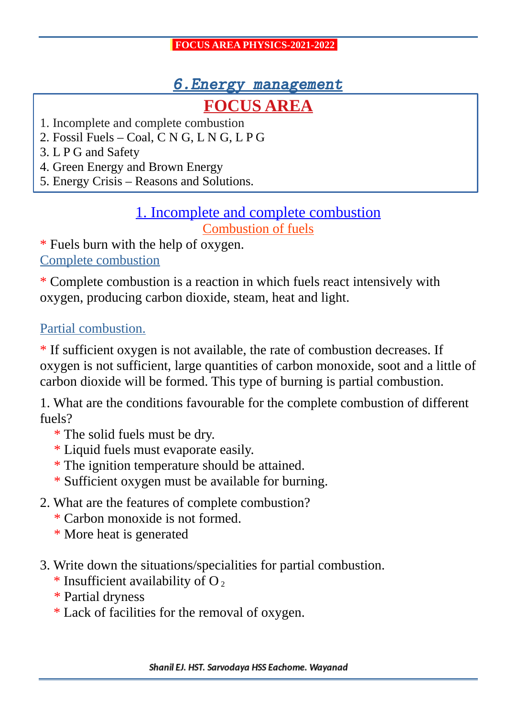## 6.Energy management

# **FOCUS AREA**

- 1. Incomplete and complete combustion
- 2. Fossil Fuels Coal, C N G, L N G, L P G
- 3. L P G and Safety
- 4. Green Energy and Brown Energy
- 5. Energy Crisis Reasons and Solutions.

### 1. Incomplete and complete combustion Combustion of fuels

\* Fuels burn with the help of oxygen. Complete combustion

\* Complete combustion is a reaction in which fuels react intensively with oxygen, producing carbon dioxide, steam, heat and light.

#### Partial combustion.

\* If sufficient oxygen is not available, the rate of combustion decreases. If oxygen is not sufficient, large quantities of carbon monoxide, soot and a little of carbon dioxide will be formed. This type of burning is partial combustion.

1. What are the conditions favourable for the complete combustion of different fuels?

- \* The solid fuels must be dry.
- \* Liquid fuels must evaporate easily.
- \* The ignition temperature should be attained.
- \* Sufficient oxygen must be available for burning.
- 2. What are the features of complete combustion?
	- \* Carbon monoxide is not formed.
	- \* More heat is generated
- 3. Write down the situations/specialities for partial combustion.
	- $*$  Insufficient availability of O<sub>2</sub>
	- \* Partial dryness
	- \* Lack of facilities for the removal of oxygen.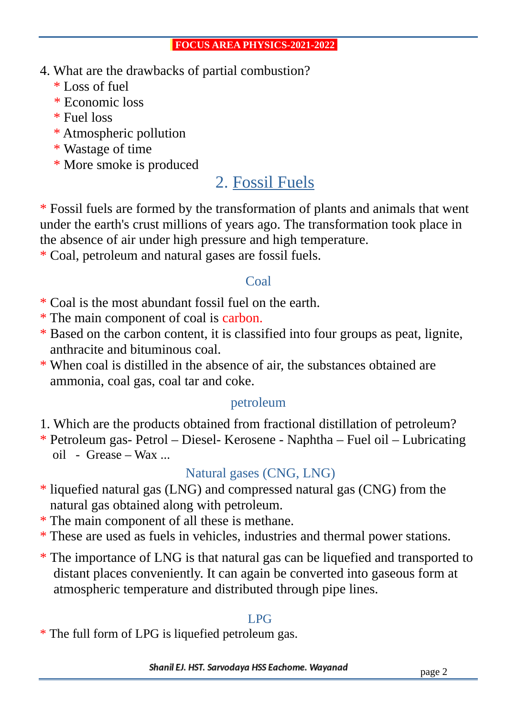- 4. What are the drawbacks of partial combustion?
	- \* Loss of fuel
	- \* Economic loss
	- \* Fuel loss
	- \* Atmospheric pollution
	- \* Wastage of time
	- \* More smoke is produced

# 2. Fossil Fuels

\* Fossil fuels are formed by the transformation of plants and animals that went under the earth's crust millions of years ago. The transformation took place in the absence of air under high pressure and high temperature.

\* Coal, petroleum and natural gases are fossil fuels.

#### Coal

- \* Coal is the most abundant fossil fuel on the earth.
- \* The main component of coal is carbon.
- \* Based on the carbon content, it is classified into four groups as peat, lignite, anthracite and bituminous coal.
- \* When coal is distilled in the absence of air, the substances obtained are ammonia, coal gas, coal tar and coke.

### petroleum

- 1. Which are the products obtained from fractional distillation of petroleum?
- \* Petroleum gas- Petrol Diesel- Kerosene Naphtha Fuel oil Lubricating  $oil$  - Grease – Wax ...

# Natural gases (CNG, LNG)

- \* liquefied natural gas (LNG) and compressed natural gas (CNG) from the natural gas obtained along with petroleum.
- \* The main component of all these is methane.
- \* These are used as fuels in vehicles, industries and thermal power stations.
- \* The importance of LNG is that natural gas can be liquefied and transported to distant places conveniently. It can again be converted into gaseous form at atmospheric temperature and distributed through pipe lines.

### LPG

\* The full form of LPG is liquefied petroleum gas.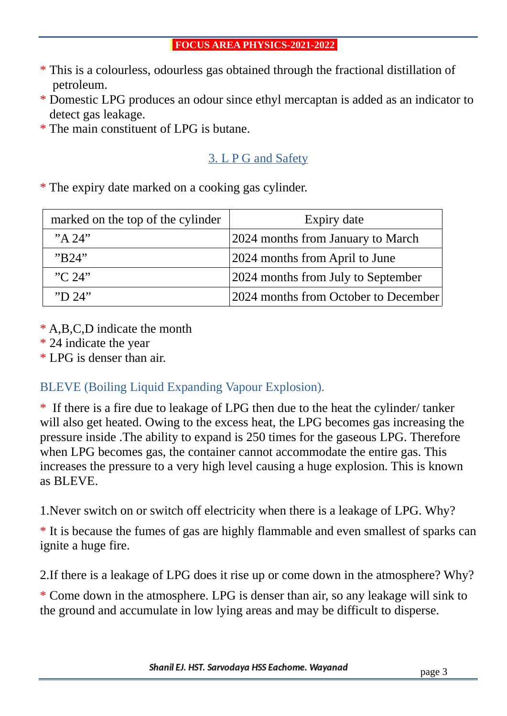- \* This is a colourless, odourless gas obtained through the fractional distillation of petroleum.
- \* Domestic LPG produces an odour since ethyl mercaptan is added as an indicator to detect gas leakage.
- \* The main constituent of LPG is butane.

#### 3. L P G and Safety

\* The expiry date marked on a cooking gas cylinder.

| marked on the top of the cylinder | Expiry date                            |
|-----------------------------------|----------------------------------------|
| "A $24$ "                         | 2024 months from January to March      |
| "B24"                             | 2024 months from April to June         |
| C.24                              | 2024 months from July to September     |
| "D 24"                            | [2024 months from October to December] |

- \* A,B,C,D indicate the month
- \* 24 indicate the year
- \* LPG is denser than air.

#### BLEVE (Boiling Liquid Expanding Vapour Explosion).

\* If there is a fire due to leakage of LPG then due to the heat the cylinder/ tanker will also get heated. Owing to the excess heat, the LPG becomes gas increasing the pressure inside .The ability to expand is 250 times for the gaseous LPG. Therefore when LPG becomes gas, the container cannot accommodate the entire gas. This increases the pressure to a very high level causing a huge explosion. This is known as BLEVE.

1.Never switch on or switch off electricity when there is a leakage of LPG. Why?

\* It is because the fumes of gas are highly flammable and even smallest of sparks can ignite a huge fire.

2.If there is a leakage of LPG does it rise up or come down in the atmosphere? Why?

\* Come down in the atmosphere. LPG is denser than air, so any leakage will sink to the ground and accumulate in low lying areas and may be difficult to disperse.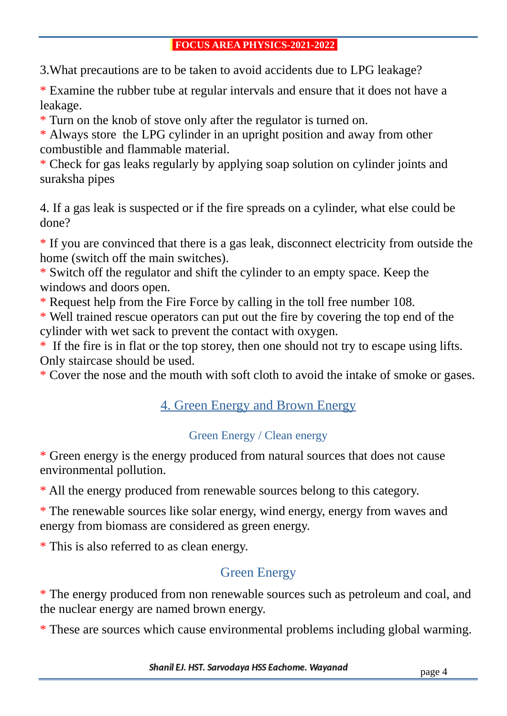3.What precautions are to be taken to avoid accidents due to LPG leakage?

\* Examine the rubber tube at regular intervals and ensure that it does not have a leakage.

\* Turn on the knob of stove only after the regulator is turned on.

\* Always store the LPG cylinder in an upright position and away from other combustible and flammable material.

\* Check for gas leaks regularly by applying soap solution on cylinder joints and suraksha pipes

4. If a gas leak is suspected or if the fire spreads on a cylinder, what else could be done?

\* If you are convinced that there is a gas leak, disconnect electricity from outside the home (switch off the main switches).

\* Switch off the regulator and shift the cylinder to an empty space. Keep the windows and doors open.

\* Request help from the Fire Force by calling in the toll free number 108.

\* Well trained rescue operators can put out the fire by covering the top end of the cylinder with wet sack to prevent the contact with oxygen.

\* If the fire is in flat or the top storey, then one should not try to escape using lifts. Only staircase should be used.

\* Cover the nose and the mouth with soft cloth to avoid the intake of smoke or gases.

#### 4. Green Energy and Brown Energy

#### Green Energy / Clean energy

\* Green energy is the energy produced from natural sources that does not cause environmental pollution.

\* All the energy produced from renewable sources belong to this category.

\* The renewable sources like solar energy, wind energy, energy from waves and energy from biomass are considered as green energy.

\* This is also referred to as clean energy.

### Green Energy

\* The energy produced from non renewable sources such as petroleum and coal, and the nuclear energy are named brown energy.

\* These are sources which cause environmental problems including global warming.